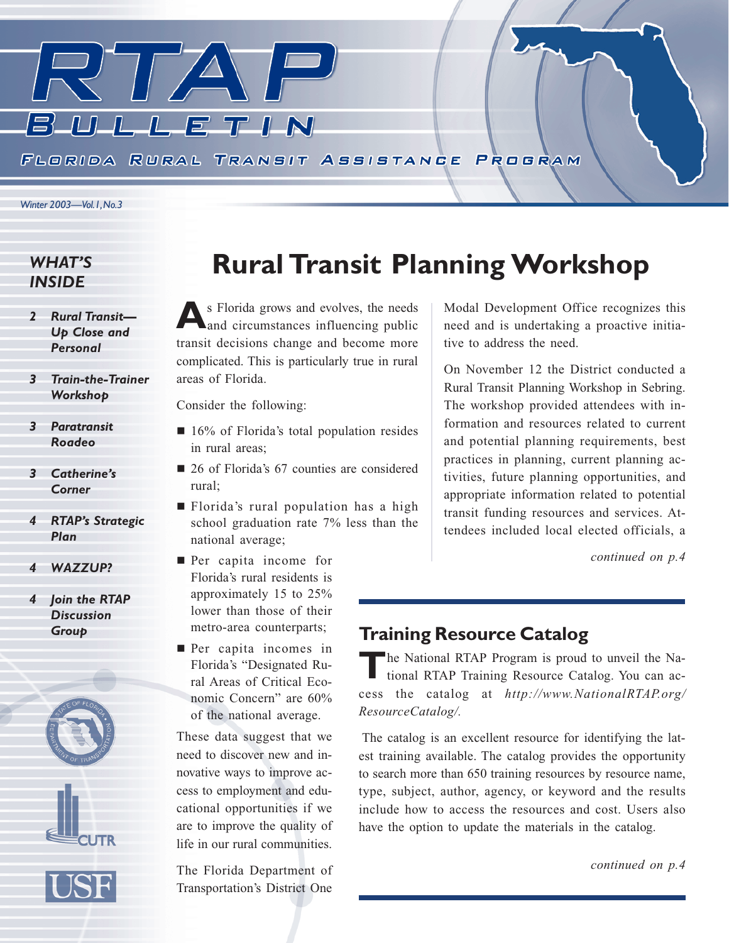

### *WHAT'S INSIDE*

- *2 Rural Transit— Up Close and Personal*
- *3 Train-the-Trainer Workshop*
- *3 Paratransit Roadeo*
- *3 Catherine's Corner*
- *4 RTAP's Strategic Plan*
- *4 WAZZUP?*
- *4 Join the RTAP Discussion Group*



## **Rural Transit Planning Workshop**

**A**s Florida grows and evolves, the needs and circumstances influencing public transit decisions change and become more complicated. This is particularly true in rural areas of Florida.

Consider the following:

- 16% of Florida's total population resides in rural areas;
- 26 of Florida's 67 counties are considered rural;
- Florida's rural population has a high school graduation rate 7% less than the national average;
- **Per capita income for** Florida's rural residents is approximately 15 to 25% lower than those of their metro-area counterparts;
- **Per capita incomes in** Florida's "Designated Rural Areas of Critical Economic Concern" are 60% of the national average.

These data suggest that we need to discover new and innovative ways to improve access to employment and educational opportunities if we are to improve the quality of life in our rural communities.

The Florida Department of Transportation's District One

Modal Development Office recognizes this need and is undertaking a proactive initiative to address the need.

On November 12 the District conducted a Rural Transit Planning Workshop in Sebring. The workshop provided attendees with information and resources related to current and potential planning requirements, best practices in planning, current planning activities, future planning opportunities, and appropriate information related to potential transit funding resources and services. Attendees included local elected officials, a

*continued on p.4*

## **Training Resource Catalog**

**T**he National RTAP Program is proud to unveil the National RTAP Training Resource Catalog. You can access the catalog at *http://www.NationalRTAP.org/ ResourceCatalog/.*

 The catalog is an excellent resource for identifying the latest training available. The catalog provides the opportunity to search more than 650 training resources by resource name, type, subject, author, agency, or keyword and the results include how to access the resources and cost. Users also have the option to update the materials in the catalog.

*continued on p.4*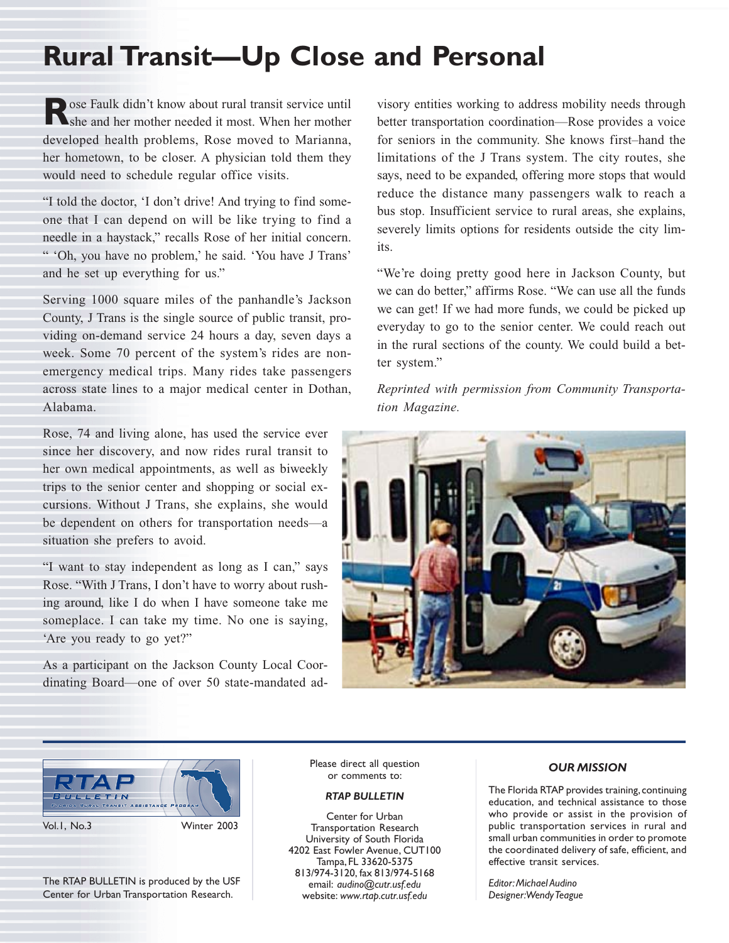## **Rural Transit—Up Close and Personal**

**Rose Faulk didn't know about rural transit service until**<br>She and her mother needed it most. When her mother developed health problems, Rose moved to Marianna, her hometown, to be closer. A physician told them they would need to schedule regular office visits.

"I told the doctor, 'I don't drive! And trying to find someone that I can depend on will be like trying to find a needle in a haystack," recalls Rose of her initial concern. " 'Oh, you have no problem,' he said. 'You have J Trans' and he set up everything for us."

Serving 1000 square miles of the panhandle's Jackson County, J Trans is the single source of public transit, providing on-demand service 24 hours a day, seven days a week. Some 70 percent of the system's rides are nonemergency medical trips. Many rides take passengers across state lines to a major medical center in Dothan, Alabama.

Rose, 74 and living alone, has used the service ever since her discovery, and now rides rural transit to her own medical appointments, as well as biweekly trips to the senior center and shopping or social excursions. Without J Trans, she explains, she would be dependent on others for transportation needs—a situation she prefers to avoid.

"I want to stay independent as long as I can," says Rose. "With J Trans, I don't have to worry about rushing around, like I do when I have someone take me someplace. I can take my time. No one is saying, 'Are you ready to go yet?"

As a participant on the Jackson County Local Coordinating Board—one of over 50 state-mandated advisory entities working to address mobility needs through better transportation coordination—Rose provides a voice for seniors in the community. She knows first–hand the limitations of the J Trans system. The city routes, she says, need to be expanded, offering more stops that would reduce the distance many passengers walk to reach a bus stop. Insufficient service to rural areas, she explains, severely limits options for residents outside the city limits.

"We're doing pretty good here in Jackson County, but we can do better," affirms Rose. "We can use all the funds we can get! If we had more funds, we could be picked up everyday to go to the senior center. We could reach out in the rural sections of the county. We could build a better system."

*Reprinted with permission from Community Transportation Magazine.*





The RTAP BULLETIN is produced by the USF Center for Urban Transportation Research.

Please direct all question or comments to:

#### *RTAP BULLETIN*

Center for Urban Transportation Research University of South Florida 4202 East Fowler Avenue, CUT100 Tampa, FL 33620-5375 813/974-3120, fax 813/974-5168 email: *audino@cutr.usf.edu* website: *www.rtap.cutr.usf.edu*

#### *OUR MISSION*

The Florida RTAP provides training, continuing education, and technical assistance to those who provide or assist in the provision of public transportation services in rural and small urban communities in order to promote the coordinated delivery of safe, efficient, and effective transit services.

*Editor: Michael Audino Designer: Wendy Teague*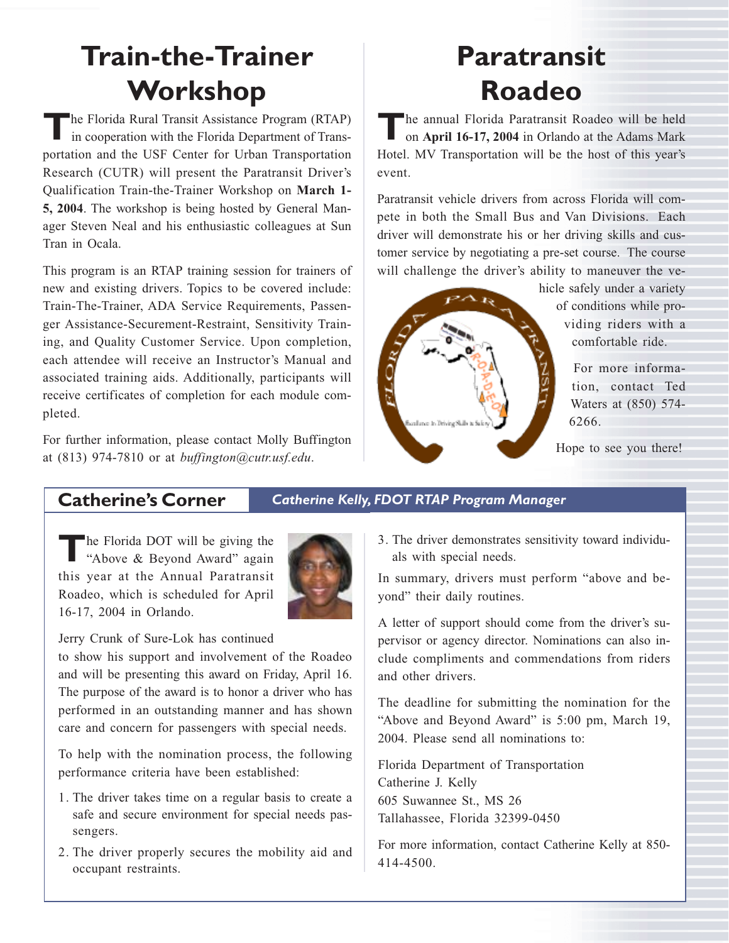## **Train-the-Trainer Workshop**

**T**he Florida Rural Transit Assistance Program (RTAP) in cooperation with the Florida Department of Transportation and the USF Center for Urban Transportation Research (CUTR) will present the Paratransit Driver's Qualification Train-the-Trainer Workshop on **March 1- 5, 2004**. The workshop is being hosted by General Manager Steven Neal and his enthusiastic colleagues at Sun Tran in Ocala.

This program is an RTAP training session for trainers of new and existing drivers. Topics to be covered include: Train-The-Trainer, ADA Service Requirements, Passenger Assistance-Securement-Restraint, Sensitivity Training, and Quality Customer Service. Upon completion, each attendee will receive an Instructor's Manual and associated training aids. Additionally, participants will receive certificates of completion for each module completed.

For further information, please contact Molly Buffington at (813) 974-7810 or at *buffington@cutr.usf.edu*.

## **Paratransit Roadeo**

**The annual Florida Paratransit Roadeo will be held** on **April 16-17, 2004** in Orlando at the Adams Mark Hotel. MV Transportation will be the host of this year's event.

Paratransit vehicle drivers from across Florida will compete in both the Small Bus and Van Divisions. Each driver will demonstrate his or her driving skills and customer service by negotiating a pre-set course. The course will challenge the driver's ability to maneuver the ve-



hicle safely under a variety of conditions while providing riders with a comfortable ride.

> For more information, contact Ted Waters at (850) 574- 6266.

Hope to see you there!

**Catherine's Corner** *Catherine Kelly, FDOT RTAP Program Manager*

The Florida DOT will be giving the<br>
"Above & Beyond Award" again this year at the Annual Paratransit Roadeo, which is scheduled for April 16-17, 2004 in Orlando.



Jerry Crunk of Sure-Lok has continued

to show his support and involvement of the Roadeo and will be presenting this award on Friday, April 16. The purpose of the award is to honor a driver who has performed in an outstanding manner and has shown care and concern for passengers with special needs.

To help with the nomination process, the following performance criteria have been established:

- 1. The driver takes time on a regular basis to create a safe and secure environment for special needs passengers.
- 2. The driver properly secures the mobility aid and occupant restraints.

3. The driver demonstrates sensitivity toward individuals with special needs.

In summary, drivers must perform "above and beyond" their daily routines.

A letter of support should come from the driver's supervisor or agency director. Nominations can also include compliments and commendations from riders and other drivers.

The deadline for submitting the nomination for the "Above and Beyond Award" is 5:00 pm, March 19, 2004. Please send all nominations to:

Florida Department of Transportation Catherine J. Kelly 605 Suwannee St., MS 26 Tallahassee, Florida 32399-0450

For more information, contact Catherine Kelly at 850- 414-4500.